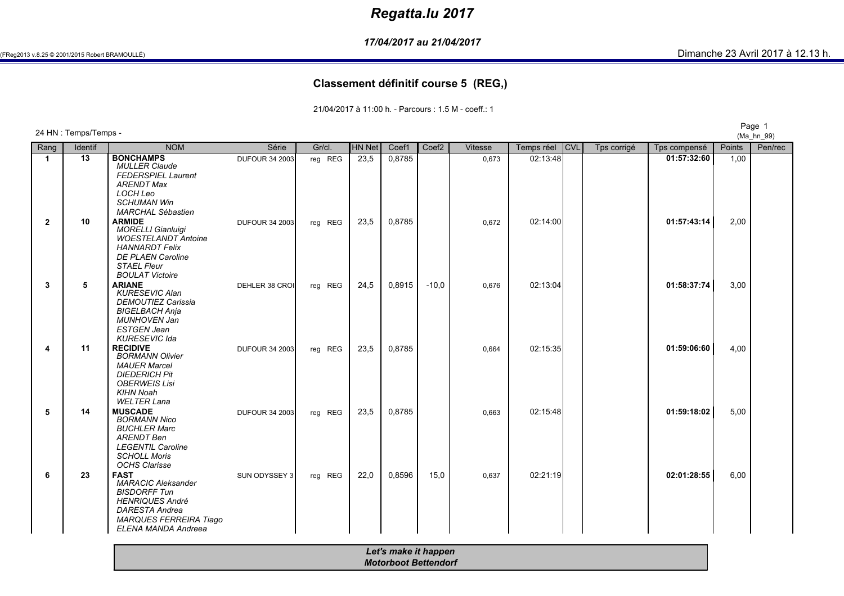# *Regatta.lu 2017*

*17/04/2017 au 21/04/2017*

#### **Classement définitif course 5 (REG,)**

21/04/2017 à 11:00 h. - Parcours : 1.5 M - coeff.: 1

Page <sup>1</sup> 24 HN : Temps/Temps - (Ma\_hn\_99)Rangg | Identif | NOM M Série Gr/cl. HN Net Coef1 Coef2 Vitesse Temps réel CVL Tps corrigé Tps compensé Points Pen/rec<br>De la compensé pour le competition de la coefa de la coefa de la constitution de la constitution de la constit **11 | 13 | BONCHAMPS** DUFOUR 34 2003| reg REG | 23,5 | 0,8785 | | 0,673 | 02:13:48| | **01:57:32:60** | 1,00<br> *MULLER Claude MULLER Claude FEDERSPIEL LaurentARENDT MaxLOCH Leo SCHUMAN Win MARCHAL Sébastien***2 <sup>10</sup> ARMIDE** DUFOUR 34 2003 reg REG 23,5 0,8785 0,672 02:14:00 **01:57:43:14** 2,00 *MORELLI Gianluigi WOESTELANDT AntoineHANNARDT Felix DE PLAEN CarolineSTAEL Fleur BOULAT Victoire***3 <sup>5</sup> ARIANE** DEHLER 38 CROI reg REG 24,5 0,8915 -10,0 0,676 02:13:04 **01:58:37:74** 3,00 *KURESEVIC Alan DEMOUTIEZ CarissiaBIGELBACH Anja MUNHOVEN JanESTGEN Jean KURESEVIC Ida***41 11 RECIDIVE DUFOUR** 34 2003 reg REG 23,5 0,8785 0,664 02:15:35 **01:59:06:60** 4,00<br> *RORMANN Olivier* DUFOUR 34 2003 reg REG 23,5 0,8785 0,664 02:15:35 *BORMANN OlivierMAUER Marcel DIEDERICH Pit OBERWEIS LisiKIHN Noah WELTER Lana***5 <sup>14</sup> MUSCADE** DUFOUR 34 2003 reg REG 23,5 0,8785 0,663 02:15:48 **01:59:18:02** 5,00 *BORMANN Nico BUCHLER MarcARENDT Ben LEGENTIL CarolineSCHOLL Moris OCHS Clarisse***6 <sup>23</sup> FAST** SUN ODYSSEY 3 reg REG 22,0 0,8596 15,0 0,637 02:21:19 **02:01:28:55** 6,00 *MARACIC AleksanderBISDORFF Tun HENRIQUES André DARESTA Andrea MARQUES FERREIRA TiagoELENA MANDA AndreeaLet's make it happenMotorboot Bettendorf*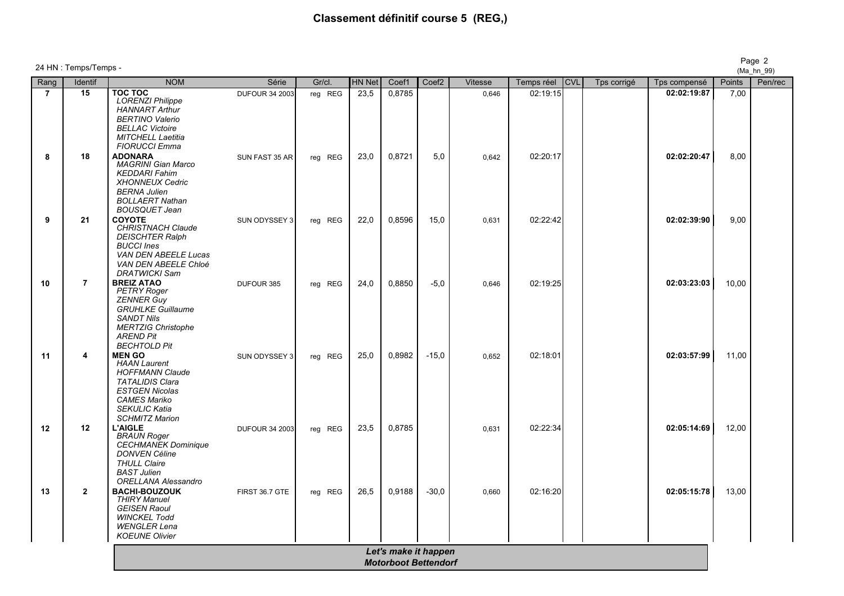# **Classement définitif course 5 (REG,)**

| Rang           | Identif        | <b>NOM</b>                                                                                                                                                               | Série                 | Gr/cl.  | <b>HN Net</b> | Coef1                | Coef <sub>2</sub> | Vitesse | Temps réel | <b>CVL</b> | Tps corrigé | Tps compensé | Points |
|----------------|----------------|--------------------------------------------------------------------------------------------------------------------------------------------------------------------------|-----------------------|---------|---------------|----------------------|-------------------|---------|------------|------------|-------------|--------------|--------|
| $\overline{7}$ | 15             | TOC TOC<br><b>LORENZI Philippe</b><br><b>HANNART Arthur</b>                                                                                                              | <b>DUFOUR 34 2003</b> | reg REG | 23,5          | 0,8785               |                   | 0,646   | 02:19:15   |            |             | 02:02:19:87  | 7,00   |
|                |                | <b>BERTINO Valerio</b><br><b>BELLAC Victoire</b><br><b>MITCHELL Laetitia</b><br><b>FIORUCCI Emma</b>                                                                     |                       |         |               |                      |                   |         |            |            |             |              |        |
| 8              | 18             | <b>ADONARA</b><br><b>MAGRINI Gian Marco</b><br><b>KEDDARI Fahim</b><br><b>XHONNEUX Cedric</b><br><b>BERNA Julien</b><br><b>BOLLAERT Nathan</b>                           | SUN FAST 35 AR        | reg REG | 23,0          | 0,8721               | 5,0               | 0,642   | 02:20:17   |            |             | 02:02:20:47  | 8,00   |
| 9              | 21             | <b>BOUSQUET Jean</b><br>COYOTE<br><b>CHRISTNACH Claude</b><br><b>DEISCHTER Ralph</b><br><b>BUCCI Ines</b><br>VAN DEN ABEELE Lucas                                        | SUN ODYSSEY 3         | reg REG | 22,0          | 0,8596               | 15,0              | 0,631   | 02:22:42   |            |             | 02:02:39:90  | 9,00   |
| 10             | $\overline{7}$ | VAN DEN ABEELE Chloé<br><b>DRATWICKI Sam</b><br><b>BREIZ ATAO</b><br><b>PETRY Roger</b><br><b>ZENNER Guy</b><br><b>GRUHLKE Guillaume</b>                                 | DUFOUR 385            | reg REG | 24,0          | 0,8850               | $-5,0$            | 0,646   | 02:19:25   |            |             | 02:03:23:03  | 10,00  |
| 11             | 4              | <b>SANDT Nils</b><br><b>MERTZIG Christophe</b><br><b>AREND Pit</b><br><b>BECHTOLD Pit</b><br><b>MEN GO</b>                                                               | SUN ODYSSEY 3         | reg REG | 25,0          | 0,8982               | $-15,0$           | 0.652   | 02:18:01   |            |             | 02:03:57:99  | 11,00  |
|                |                | <b>HAAN Laurent</b><br><b>HOFFMANN Claude</b><br><b>TATALIDIS Clara</b><br><b>ESTGEN Nicolas</b><br><b>CAMES Mariko</b><br><b>SEKULIC Katia</b><br><b>SCHMITZ Marion</b> |                       |         |               |                      |                   |         |            |            |             |              |        |
| 12             | 12             | <b>L'AIGLE</b><br><b>BRAUN Roger</b><br><b>CECHMANEK Dominique</b><br><b>DONVEN Céline</b><br><b>THULL Claire</b><br><b>BAST Julien</b>                                  | <b>DUFOUR 34 2003</b> | reg REG | 23,5          | 0,8785               |                   | 0.631   | 02:22:34   |            |             | 02:05:14:69  | 12,00  |
| 13             | $\overline{2}$ | <b>ORELLANA Alessandro</b><br><b>BACHI-BOUZOUK</b><br><b>THIRY Manuel</b><br><b>GEISEN Raoul</b><br><b>WINCKEL Todd</b><br><b>WENGLER Lena</b><br><b>KOEUNE Olivier</b>  | FIRST 36.7 GTE        | reg REG | 26,5          | 0,9188               | $-30,0$           | 0,660   | 02:16:20   |            |             | 02:05:15:78  | 13,00  |
|                |                |                                                                                                                                                                          |                       |         |               | Let's make it happen |                   |         |            |            |             |              |        |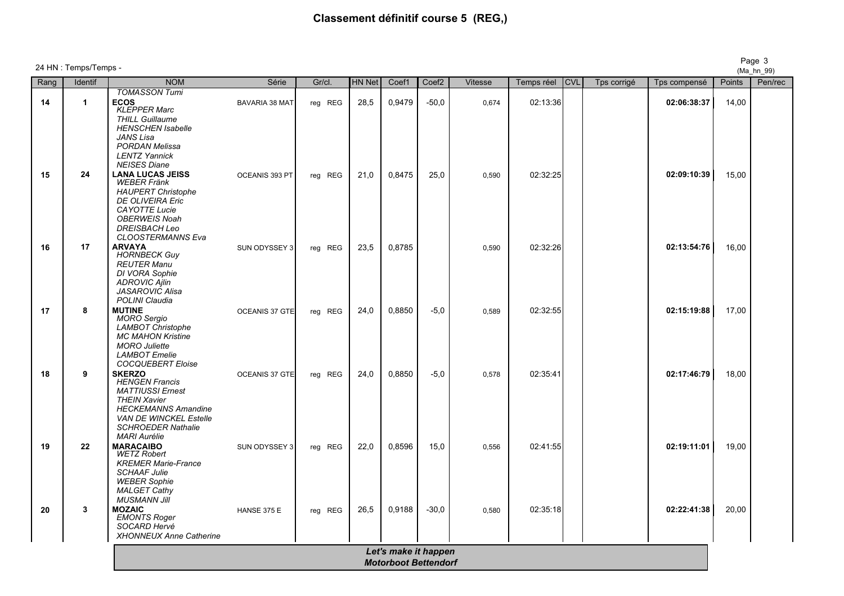# **Classement définitif course 5 (REG,)**

|      | 24 HN : Temps/Temps - |                                                                                                                                                                                                             |                       |         |               |                                                     |                   |         |            |            |             |              |        | Page 3<br>(Ma_hn_99) |
|------|-----------------------|-------------------------------------------------------------------------------------------------------------------------------------------------------------------------------------------------------------|-----------------------|---------|---------------|-----------------------------------------------------|-------------------|---------|------------|------------|-------------|--------------|--------|----------------------|
| Rang | Identif               | <b>NOM</b>                                                                                                                                                                                                  | Série                 | Gr/cl.  | <b>HN Net</b> | Coef1                                               | Coef <sub>2</sub> | Vitesse | Temps réel | <b>CVL</b> | Tps corrigé | Tps compensé | Points | Pen/rec              |
| 14   | $\mathbf{1}$          | <b>TOMASSON Tumi</b><br><b>ECOS</b><br><b>KLEPPER Marc</b><br><b>THILL Guillaume</b><br><b>HENSCHEN Isabelle</b><br>JANS Lisa<br><b>PORDAN Melissa</b><br><b>LENTZ Yannick</b><br><b>NEISES Diane</b>       | <b>BAVARIA 38 MAT</b> | reg REG | 28,5          | 0,9479                                              | $-50,0$           | 0.674   | 02:13:36   |            |             | 02:06:38:37  | 14,00  |                      |
| 15   | ${\bf 24}$            | <b>LANA LUCAS JEISS</b><br><b>WEBER Fränk</b><br><b>HAUPERT Christophe</b><br><b>DE OLIVEIRA Eric</b><br><b>CAYOTTE Lucie</b><br><b>OBERWEIS Noah</b><br><b>DREISBACH Leo</b><br><b>CLOOSTERMANNS Eva</b>   | OCEANIS 393 PT        | reg REG | 21,0          | 0,8475                                              | 25,0              | 0,590   | 02:32:25   |            |             | 02:09:10:39  | 15,00  |                      |
| 16   | 17                    | <b>ARVAYA</b><br><b>HORNBECK Guy</b><br><b>REUTER Manu</b><br>DI VORA Sophie<br><b>ADROVIC Ajlin</b><br><b>JASAROVIC Alisa</b><br>POLINI Claudia                                                            | SUN ODYSSEY 3         | reg REG | 23,5          | 0,8785                                              |                   | 0,590   | 02:32:26   |            |             | 02:13:54:76  | 16,00  |                      |
| 17   | 8                     | <b>MUTINE</b><br><b>MORO</b> Sergio<br><b>LAMBOT Christophe</b><br><b>MC MAHON Kristine</b><br><b>MORO Juliette</b><br><b>LAMBOT</b> Emelie<br><b>COCQUEBERT Eloise</b>                                     | OCEANIS 37 GTE        | reg REG | 24,0          | 0,8850                                              | $-5,0$            | 0,589   | 02:32:55   |            |             | 02:15:19:88  | 17,00  |                      |
| 18   | 9                     | <b>SKERZO</b><br><b>HENGEN Francis</b><br><b>MATTIUSSI Ernest</b><br><b>THEIN Xavier</b><br><b>HECKEMANNS Amandine</b><br><b>VAN DE WINCKEL Estelle</b><br><b>SCHROEDER Nathalie</b><br><b>MARI Aurélie</b> | OCEANIS 37 GTE        | reg REG | 24,0          | 0,8850                                              | $-5,0$            | 0,578   | 02:35:41   |            |             | 02:17:46:79  | 18,00  |                      |
| 19   | 22                    | <b>MARACAIBO</b><br><b>WETZ Robert</b><br><b>KREMER Marie-France</b><br><b>SCHAAF Julie</b><br><b>WEBER Sophie</b><br><b>MALGET Cathy</b><br><b>MUSMANN Jill</b>                                            | SUN ODYSSEY 3         | reg REG | 22,0          | 0,8596                                              | 15,0              | 0,556   | 02:41:55   |            |             | 02:19:11:01  | 19,00  |                      |
| 20   | 3                     | <b>MOZAIC</b><br><b>EMONTS Roger</b><br>SOCARD Hervé<br><b>XHONNEUX Anne Catherine</b>                                                                                                                      | HANSE 375 E           | reg REG | 26,5          | 0,9188                                              | $-30,0$           | 0,580   | 02:35:18   |            |             | 02:22:41:38  | 20,00  |                      |
|      |                       |                                                                                                                                                                                                             |                       |         |               | Let's make it happen<br><b>Motorboot Bettendorf</b> |                   |         |            |            |             |              |        |                      |